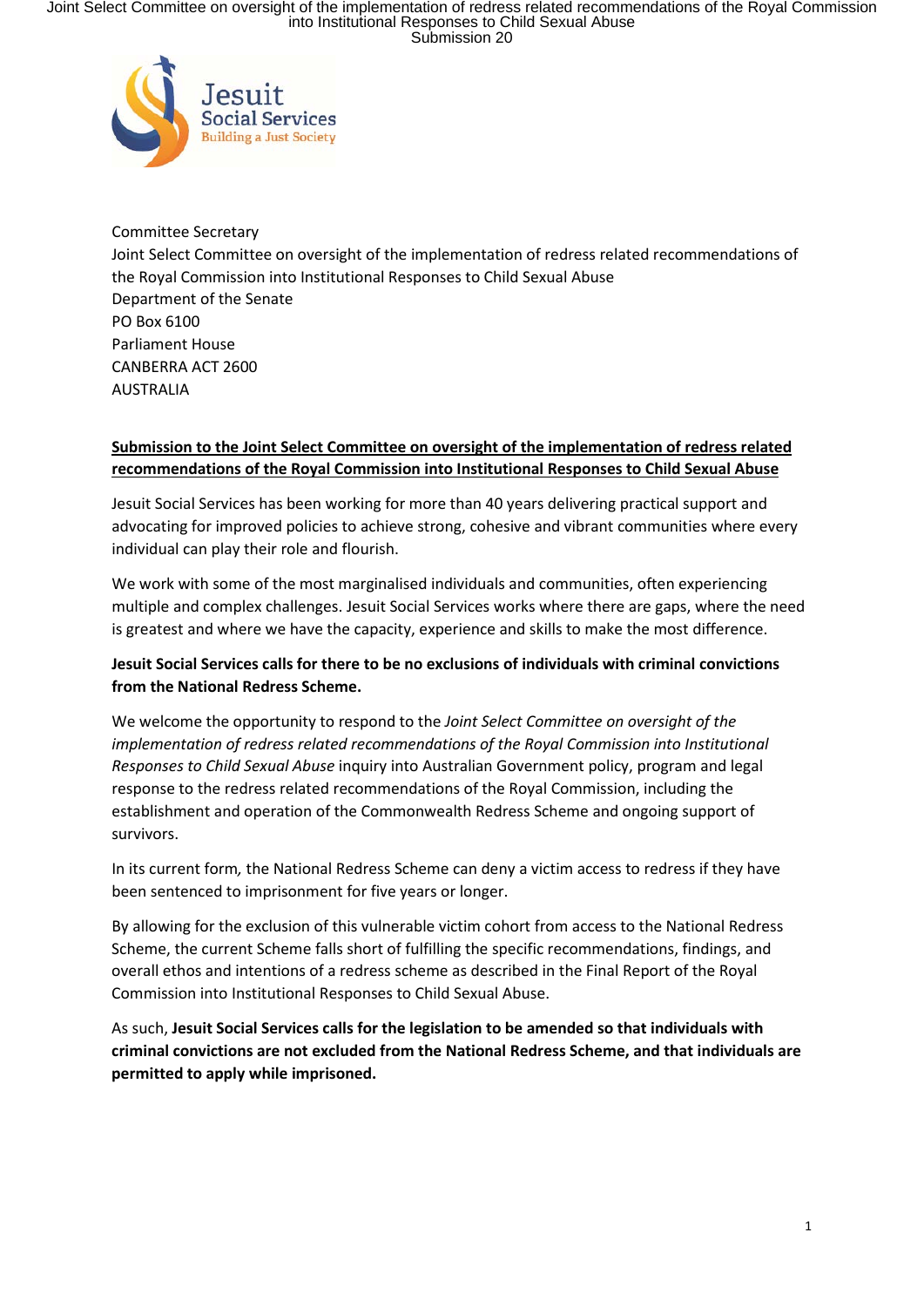Joint Select Committee on oversight of the implementation of redress related recommendations of the Royal Commission<br>into Institutional Responses to Child Sexual Abuse<br>Submission 20



Committee Secretary Joint Select Committee on oversight of the implementation of redress related recommendations of the Royal Commission into Institutional Responses to Child Sexual Abuse Department of the Senate PO Box 6100 Parliament House CANBERRA ACT 2600 **AUSTRALIA** 

### **Submission to the Joint Select Committee on oversight of the implementation of redress related recommendations of the Royal Commission into Institutional Responses to Child Sexual Abuse**

Jesuit Social Services has been working for more than 40 years delivering practical support and advocating for improved policies to achieve strong, cohesive and vibrant communities where every individual can play their role and flourish.

We work with some of the most marginalised individuals and communities, often experiencing multiple and complex challenges. Jesuit Social Services works where there are gaps, where the need is greatest and where we have the capacity, experience and skills to make the most difference.

# **Jesuit Social Services calls for there to be no exclusions of individuals with criminal convictions from the National Redress Scheme.**

We welcome the opportunity to respond to the *Joint Select Committee on oversight of the implementation of redress related recommendations of the Royal Commission into Institutional Responses to Child Sexual Abuse* inquiry into Australian Government policy, program and legal response to the redress related recommendations of the Royal Commission, including the establishment and operation of the Commonwealth Redress Scheme and ongoing support of survivors.

In its current form*,* the National Redress Scheme can deny a victim access to redress if they have been sentenced to imprisonment for five years or longer.

By allowing for the exclusion of this vulnerable victim cohort from access to the National Redress Scheme, the current Scheme falls short of fulfilling the specific recommendations, findings, and overall ethos and intentions of a redress scheme as described in the Final Report of the Royal Commission into Institutional Responses to Child Sexual Abuse.

As such, **Jesuit Social Services calls for the legislation to be amended so that individuals with criminal convictions are not excluded from the National Redress Scheme, and that individuals are permitted to apply while imprisoned.**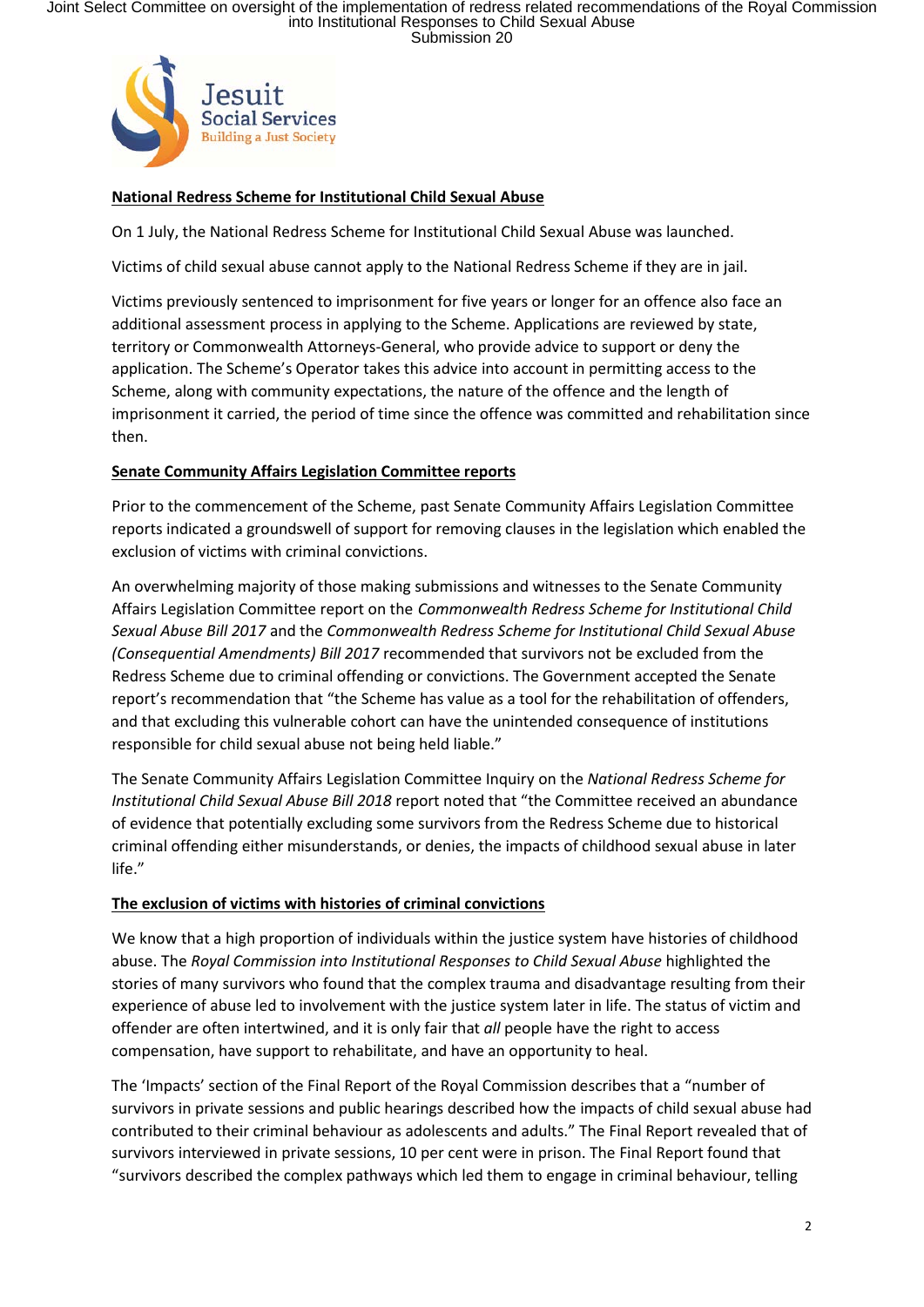Joint Select Committee on oversight of the implementation of redress related recommendations of the Royal Commission<br>into Institutional Responses to Child Sexual Abuse<br>Submission 20



## **National Redress Scheme for Institutional Child Sexual Abuse**

On 1 July, the National Redress Scheme for Institutional Child Sexual Abuse was launched.

Victims of child sexual abuse cannot apply to the National Redress Scheme if they are in jail.

Victims previously sentenced to imprisonment for five years or longer for an offence also face an additional assessment process in applying to the Scheme. Applications are reviewed by state, territory or Commonwealth Attorneys-General, who provide advice to support or deny the application. The Scheme's Operator takes this advice into account in permitting access to the Scheme, along with community expectations, the nature of the offence and the length of imprisonment it carried, the period of time since the offence was committed and rehabilitation since then.

### **Senate Community Affairs Legislation Committee reports**

Prior to the commencement of the Scheme, past Senate Community Affairs Legislation Committee reports indicated a groundswell of support for removing clauses in the legislation which enabled the exclusion of victims with criminal convictions.

An overwhelming majority of those making submissions and witnesses to the Senate Community Affairs Legislation Committee report on the *Commonwealth Redress Scheme for Institutional Child Sexual Abuse Bill 2017* and the *Commonwealth Redress Scheme for Institutional Child Sexual Abuse (Consequential Amendments) Bill 2017* recommended that survivors not be excluded from the Redress Scheme due to criminal offending or convictions. The Government accepted the Senate report's recommendation that "the Scheme has value as a tool for the rehabilitation of offenders, and that excluding this vulnerable cohort can have the unintended consequence of institutions responsible for child sexual abuse not being held liable."

The Senate Community Affairs Legislation Committee Inquiry on the *National Redress Scheme for Institutional Child Sexual Abuse Bill 2018* report noted that "the Committee received an abundance of evidence that potentially excluding some survivors from the Redress Scheme due to historical criminal offending either misunderstands, or denies, the impacts of childhood sexual abuse in later life."

### **The exclusion of victims with histories of criminal convictions**

We know that a high proportion of individuals within the justice system have histories of childhood abuse. The *Royal Commission into Institutional Responses to Child Sexual Abuse* highlighted the stories of many survivors who found that the complex trauma and disadvantage resulting from their experience of abuse led to involvement with the justice system later in life. The status of victim and offender are often intertwined, and it is only fair that *all* people have the right to access compensation, have support to rehabilitate, and have an opportunity to heal.

The 'Impacts' section of the Final Report of the Royal Commission describes that a "number of survivors in private sessions and public hearings described how the impacts of child sexual abuse had contributed to their criminal behaviour as adolescents and adults." The Final Report revealed that of survivors interviewed in private sessions, 10 per cent were in prison. The Final Report found that "survivors described the complex pathways which led them to engage in criminal behaviour, telling